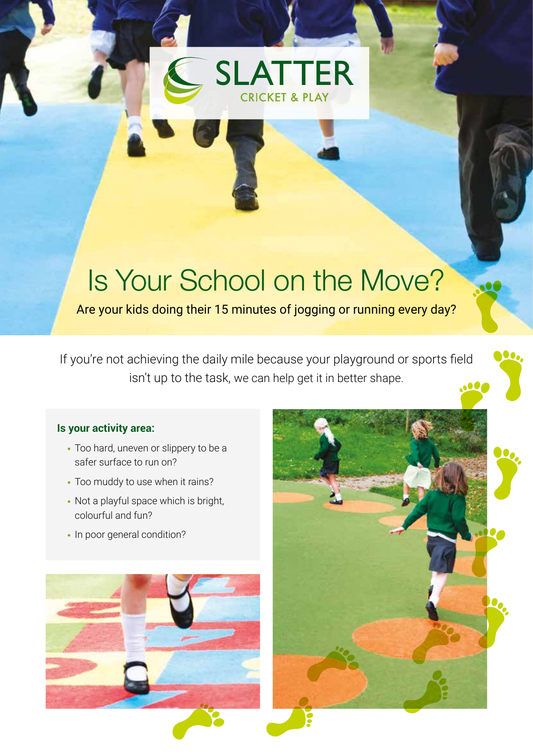## **SLATTER CRICKET & PLAY**

## Is Your School on the Move?

Are your kids doing their 15 minutes of jogging or running every day?

If you're not achieving the daily mile because your playground or sports field isn't up to the task, we can help get it in better shape.

## **Is your activity area:**

- **•** Too hard, uneven or slippery to be a safer surface to run on?
- **•** Too muddy to use when it rains?
- **•** Not a playful space which is bright, colourful and fun?
- In poor general condition?